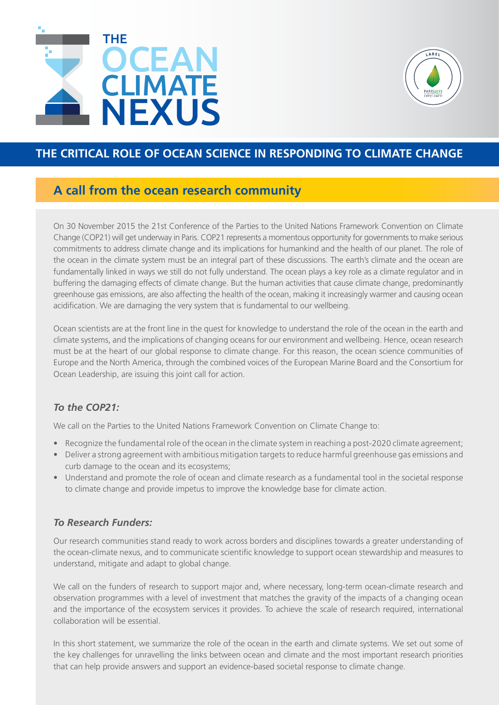



### **THE CRITICAL ROLE OF OCEAN SCIENCE IN RESPONDING TO CLIMATE CHANGE**

## **A call from the ocean research community**

On 30 November 2015 the 21st Conference of the Parties to the United Nations Framework Convention on Climate Change (COP21) will get underway in Paris. COP21 represents a momentous opportunity for governments to make serious commitments to address climate change and its implications for humankind and the health of our planet. The role of the ocean in the climate system must be an integral part of these discussions. The earth's climate and the ocean are fundamentally linked in ways we still do not fully understand. The ocean plays a key role as a climate regulator and in buffering the damaging effects of climate change. But the human activities that cause climate change, predominantly greenhouse gas emissions, are also affecting the health of the ocean, making it increasingly warmer and causing ocean acidification. We are damaging the very system that is fundamental to our wellbeing.

Ocean scientists are at the front line in the quest for knowledge to understand the role of the ocean in the earth and climate systems, and the implications of changing oceans for our environment and wellbeing. Hence, ocean research must be at the heart of our global response to climate change. For this reason, the ocean science communities of Europe and the North America, through the combined voices of the European Marine Board and the Consortium for Ocean Leadership, are issuing this joint call for action.

### *To the COP21:*

We call on the Parties to the United Nations Framework Convention on Climate Change to:

- Recognize the fundamental role of the ocean in the climate system in reaching a post-2020 climate agreement;
- • Deliver a strong agreement with ambitious mitigation targets to reduce harmful greenhouse gas emissions and curb damage to the ocean and its ecosystems;
- Understand and promote the role of ocean and climate research as a fundamental tool in the societal response to climate change and provide impetus to improve the knowledge base for climate action.

### *To Research Funders:*

Our research communities stand ready to work across borders and disciplines towards a greater understanding of the ocean-climate nexus, and to communicate scientific knowledge to support ocean stewardship and measures to understand, mitigate and adapt to global change.

We call on the funders of research to support major and, where necessary, long-term ocean-climate research and observation programmes with a level of investment that matches the gravity of the impacts of a changing ocean and the importance of the ecosystem services it provides. To achieve the scale of research required, international collaboration will be essential.

In this short statement, we summarize the role of the ocean in the earth and climate systems. We set out some of the key challenges for unravelling the links between ocean and climate and the most important research priorities that can help provide answers and support an evidence-based societal response to climate change.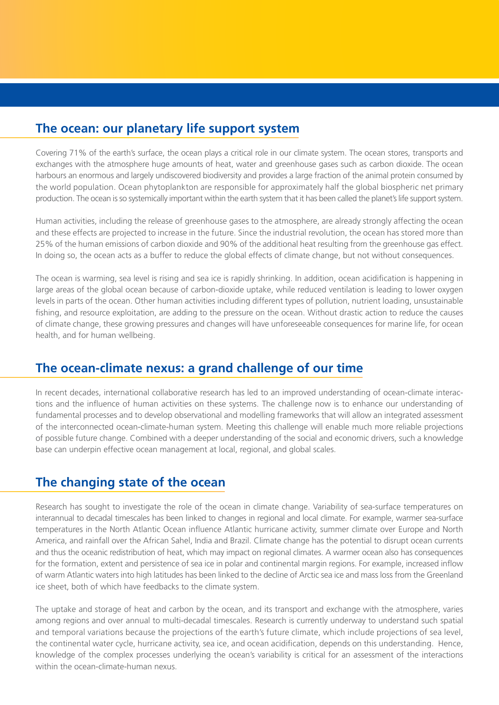# **The ocean: our planetary life support system**

Covering 71% of the earth's surface, the ocean plays a critical role in our climate system. The ocean stores, transports and exchanges with the atmosphere huge amounts of heat, water and greenhouse gases such as carbon dioxide. The ocean harbours an enormous and largely undiscovered biodiversity and provides a large fraction of the animal protein consumed by the world population. Ocean phytoplankton are responsible for approximately half the global biospheric net primary production. The ocean is so systemically important within the earth system that it has been called the planet's life support system.

Human activities, including the release of greenhouse gases to the atmosphere, are already strongly affecting the ocean and these effects are projected to increase in the future. Since the industrial revolution, the ocean has stored more than 25% of the human emissions of carbon dioxide and 90% of the additional heat resulting from the greenhouse gas effect. In doing so, the ocean acts as a buffer to reduce the global effects of climate change, but not without consequences.

The ocean is warming, sea level is rising and sea ice is rapidly shrinking. In addition, ocean acidification is happening in large areas of the global ocean because of carbon-dioxide uptake, while reduced ventilation is leading to lower oxygen levels in parts of the ocean. Other human activities including different types of pollution, nutrient loading, unsustainable fishing, and resource exploitation, are adding to the pressure on the ocean. Without drastic action to reduce the causes of climate change, these growing pressures and changes will have unforeseeable consequences for marine life, for ocean health, and for human wellbeing.

## **The ocean-climate nexus: a grand challenge of our time**

In recent decades, international collaborative research has led to an improved understanding of ocean-climate interactions and the influence of human activities on these systems. The challenge now is to enhance our understanding of fundamental processes and to develop observational and modelling frameworks that will allow an integrated assessment of the interconnected ocean-climate-human system. Meeting this challenge will enable much more reliable projections of possible future change. Combined with a deeper understanding of the social and economic drivers, such a knowledge base can underpin effective ocean management at local, regional, and global scales.

## **The changing state of the ocean**

Research has sought to investigate the role of the ocean in climate change. Variability of sea-surface temperatures on interannual to decadal timescales has been linked to changes in regional and local climate. For example, warmer sea-surface temperatures in the North Atlantic Ocean influence Atlantic hurricane activity, summer climate over Europe and North America, and rainfall over the African Sahel, India and Brazil. Climate change has the potential to disrupt ocean currents and thus the oceanic redistribution of heat, which may impact on regional climates. A warmer ocean also has consequences for the formation, extent and persistence of sea ice in polar and continental margin regions. For example, increased inflow of warm Atlantic waters into high latitudes has been linked to the decline of Arctic sea ice and mass loss from the Greenland ice sheet, both of which have feedbacks to the climate system.

The uptake and storage of heat and carbon by the ocean, and its transport and exchange with the atmosphere, varies among regions and over annual to multi-decadal timescales. Research is currently underway to understand such spatial and temporal variations because the projections of the earth's future climate, which include projections of sea level, the continental water cycle, hurricane activity, sea ice, and ocean acidification, depends on this understanding. Hence, knowledge of the complex processes underlying the ocean's variability is critical for an assessment of the interactions within the ocean-climate-human nexus.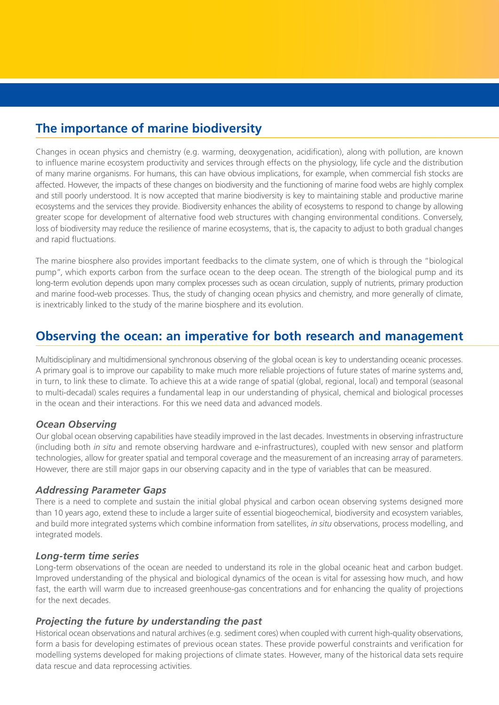# **The importance of marine biodiversity**

Changes in ocean physics and chemistry (e.g. warming, deoxygenation, acidification), along with pollution, are known to influence marine ecosystem productivity and services through effects on the physiology, life cycle and the distribution of many marine organisms. For humans, this can have obvious implications, for example, when commercial fish stocks are affected. However, the impacts of these changes on biodiversity and the functioning of marine food webs are highly complex and still poorly understood. It is now accepted that marine biodiversity is key to maintaining stable and productive marine ecosystems and the services they provide. Biodiversity enhances the ability of ecosystems to respond to change by allowing greater scope for development of alternative food web structures with changing environmental conditions. Conversely, loss of biodiversity may reduce the resilience of marine ecosystems, that is, the capacity to adjust to both gradual changes and rapid fluctuations.

The marine biosphere also provides important feedbacks to the climate system, one of which is through the "biological pump", which exports carbon from the surface ocean to the deep ocean. The strength of the biological pump and its long-term evolution depends upon many complex processes such as ocean circulation, supply of nutrients, primary production and marine food-web processes. Thus, the study of changing ocean physics and chemistry, and more generally of climate, is inextricably linked to the study of the marine biosphere and its evolution.

## **Observing the ocean: an imperative for both research and management**

Multidisciplinary and multidimensional synchronous observing of the global ocean is key to understanding oceanic processes. A primary goal is to improve our capability to make much more reliable projections of future states of marine systems and, in turn, to link these to climate. To achieve this at a wide range of spatial (global, regional, local) and temporal (seasonal to multi-decadal) scales requires a fundamental leap in our understanding of physical, chemical and biological processes in the ocean and their interactions. For this we need data and advanced models.

#### *Ocean Observing*

Our global ocean observing capabilities have steadily improved in the last decades. Investments in observing infrastructure (including both *in situ* and remote observing hardware and e-infrastructures), coupled with new sensor and platform technologies, allow for greater spatial and temporal coverage and the measurement of an increasing array of parameters. However, there are still major gaps in our observing capacity and in the type of variables that can be measured.

#### *Addressing Parameter Gaps*

There is a need to complete and sustain the initial global physical and carbon ocean observing systems designed more than 10 years ago, extend these to include a larger suite of essential biogeochemical, biodiversity and ecosystem variables, and build more integrated systems which combine information from satellites, *in situ* observations, process modelling, and integrated models.

#### *Long-term time series*

Long-term observations of the ocean are needed to understand its role in the global oceanic heat and carbon budget. Improved understanding of the physical and biological dynamics of the ocean is vital for assessing how much, and how fast, the earth will warm due to increased greenhouse-gas concentrations and for enhancing the quality of projections for the next decades.

#### *Projecting the future by understanding the past*

Historical ocean observations and natural archives (e.g. sediment cores) when coupled with current high-quality observations, form a basis for developing estimates of previous ocean states. These provide powerful constraints and verification for modelling systems developed for making projections of climate states. However, many of the historical data sets require data rescue and data reprocessing activities.